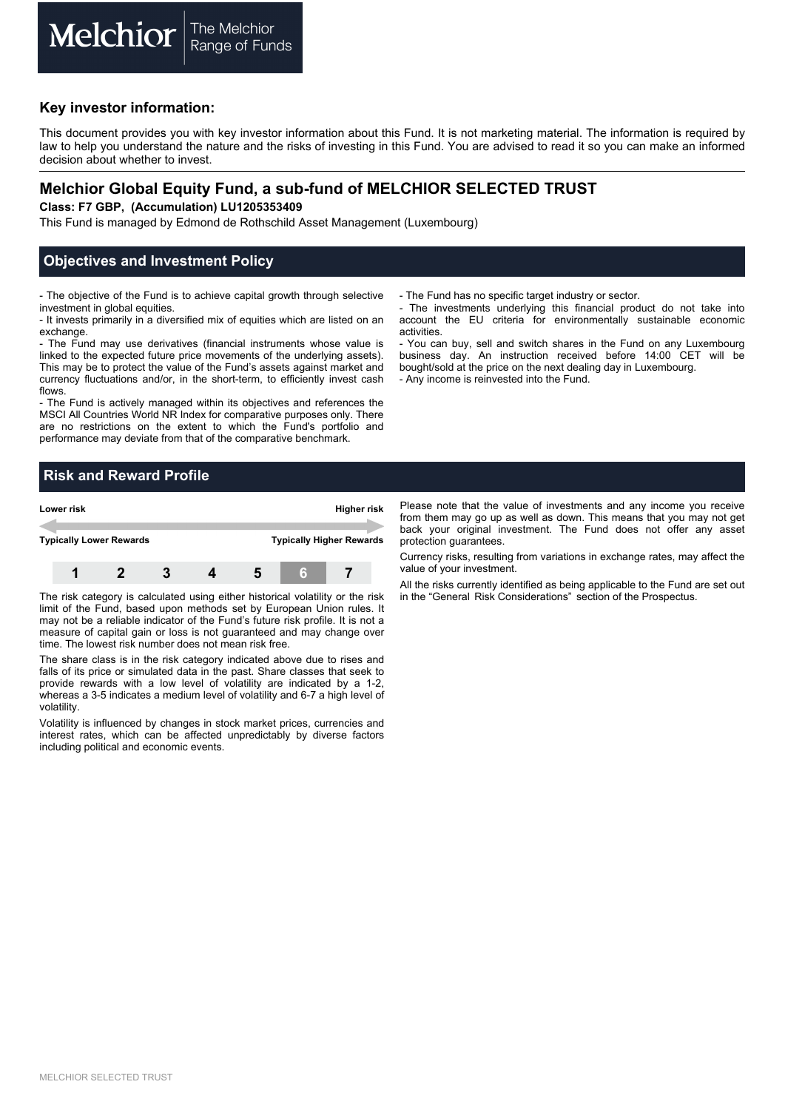### **Key investor information:**

This document provides you with key investor information about this Fund. It is not marketing material. The information is required by law to help you understand the nature and the risks of investing in this Fund. You are advised to read it so you can make an informed decision about whether to invest.

# **Melchior Global Equity Fund, a sub-fund of MELCHIOR SELECTED TRUST**

**Class: F7 GBP, (Accumulation) LU1205353409** 

This Fund is managed by Edmond de Rothschild Asset Management (Luxembourg)

### **Objectives and Investment Policy**

- The objective of the Fund is to achieve capital growth through selective investment in global equities.

- It invests primarily in a diversified mix of equities which are listed on an exchange.

- The Fund may use derivatives (financial instruments whose value is linked to the expected future price movements of the underlying assets). This may be to protect the value of the Fund's assets against market and currency fluctuations and/or, in the short-term, to efficiently invest cash flows.

- The Fund is actively managed within its objectives and references the MSCI All Countries World NR Index for comparative purposes only. There are no restrictions on the extent to which the Fund's portfolio and performance may deviate from that of the comparative benchmark.

- The Fund has no specific target industry or sector.

- The investments underlying this financial product do not take into account the EU criteria for environmentally sustainable economic activities.

- You can buy, sell and switch shares in the Fund on any Luxembourg business day. An instruction received before 14:00 CET will be bought/sold at the price on the next dealing day in Luxembourg. - Any income is reinvested into the Fund.

# **Risk and Reward Profile**



The risk category is calculated using either historical volatility or the risk limit of the Fund, based upon methods set by European Union rules. It may not be a reliable indicator of the Fund's future risk profile. It is not a measure of capital gain or loss is not guaranteed and may change over time. The lowest risk number does not mean risk free.

The share class is in the risk category indicated above due to rises and falls of its price or simulated data in the past. Share classes that seek to provide rewards with a low level of volatility are indicated by a 1-2, whereas a 3-5 indicates a medium level of volatility and 6-7 a high level of volatility.

Volatility is influenced by changes in stock market prices, currencies and interest rates, which can be affected unpredictably by diverse factors including political and economic events.

Please note that the value of investments and any income you receive from them may go up as well as down. This means that you may not get back your original investment. The Fund does not offer any asset protection guarantees.

Currency risks, resulting from variations in exchange rates, may affect the value of your investment.

All the risks currently identified as being applicable to the Fund are set out in the "General Risk Considerations" section of the Prospectus.